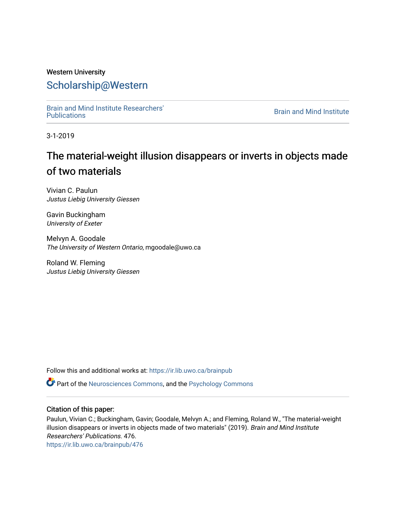## Western University [Scholarship@Western](https://ir.lib.uwo.ca/)

[Brain and Mind Institute Researchers'](https://ir.lib.uwo.ca/brainpub) 

**Brain and Mind Institute** 

3-1-2019

# The material-weight illusion disappears or inverts in objects made of two materials

Vivian C. Paulun Justus Liebig University Giessen

Gavin Buckingham University of Exeter

Melvyn A. Goodale The University of Western Ontario, mgoodale@uwo.ca

Roland W. Fleming Justus Liebig University Giessen

Follow this and additional works at: [https://ir.lib.uwo.ca/brainpub](https://ir.lib.uwo.ca/brainpub?utm_source=ir.lib.uwo.ca%2Fbrainpub%2F476&utm_medium=PDF&utm_campaign=PDFCoverPages)

Part of the [Neurosciences Commons](http://network.bepress.com/hgg/discipline/1010?utm_source=ir.lib.uwo.ca%2Fbrainpub%2F476&utm_medium=PDF&utm_campaign=PDFCoverPages), and the [Psychology Commons](http://network.bepress.com/hgg/discipline/404?utm_source=ir.lib.uwo.ca%2Fbrainpub%2F476&utm_medium=PDF&utm_campaign=PDFCoverPages) 

## Citation of this paper:

Paulun, Vivian C.; Buckingham, Gavin; Goodale, Melvyn A.; and Fleming, Roland W., "The material-weight illusion disappears or inverts in objects made of two materials" (2019). Brain and Mind Institute Researchers' Publications. 476.

[https://ir.lib.uwo.ca/brainpub/476](https://ir.lib.uwo.ca/brainpub/476?utm_source=ir.lib.uwo.ca%2Fbrainpub%2F476&utm_medium=PDF&utm_campaign=PDFCoverPages)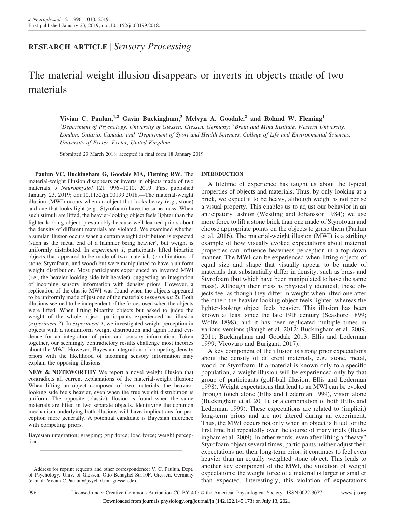## **RESEARCH ARTICLE** *Sensory Processing*

# The material-weight illusion disappears or inverts in objects made of two materials

**Vivian C. Paulun,1,2 Gavin Buckingham,<sup>3</sup> Melvyn A. Goodale,<sup>2</sup> and Roland W. Fleming<sup>1</sup>**

1 *Department of Psychology, University of Giessen, Giessen, Germany;* <sup>2</sup> *Brain and Mind Institute, Western University, London, Ontario, Canada; and* <sup>3</sup> *Department of Sport and Health Sciences, College of Life and Environmental Sciences, University of Exeter, Exeter, United Kingdom*

Submitted 23 March 2018; accepted in final form 18 January 2019

**Paulun VC, Buckingham G, Goodale MA, Fleming RW.** The material-weight illusion disappears or inverts in objects made of two materials. *J Neurophysiol* 121: 996 –1010, 2019. First published January 23, 2019; doi[:10.1152/jn.00199.2018.](http://doi.org/10.1152/jn.00199.2018)—The material-weight illusion (MWI) occurs when an object that looks heavy (e.g., stone) and one that looks light (e.g., Styrofoam) have the same mass. When such stimuli are lifted, the heavier-looking object feels lighter than the lighter-looking object, presumably because well-learned priors about the density of different materials are violated. We examined whether a similar illusion occurs when a certain weight distribution is expected (such as the metal end of a hammer being heavier), but weight is uniformly distributed. In *experiment 1*, participants lifted bipartite objects that appeared to be made of two materials (combinations of stone, Styrofoam, and wood) but were manipulated to have a uniform weight distribution. Most participants experienced an inverted MWI (i.e., the heavier-looking side felt heavier), suggesting an integration of incoming sensory information with density priors. However, a replication of the classic MWI was found when the objects appeared to be uniformly made of just one of the materials (*experiment 2*). Both illusions seemed to be independent of the forces used when the objects were lifted. When lifting bipartite objects but asked to judge the weight of the whole object, participants experienced no illusion (*experiment 3*). In *experiment 4*, we investigated weight perception in objects with a nonuniform weight distribution and again found evidence for an integration of prior and sensory information. Taken together, our seemingly contradictory results challenge most theories about the MWI. However, Bayesian integration of competing density priors with the likelihood of incoming sensory information may explain the opposing illusions.

**NEW & NOTEWORTHY** We report a novel weight illusion that contradicts all current explanations of the material-weight illusion: When lifting an object composed of two materials, the heavierlooking side feels heavier, even when the true weight distribution is uniform. The opposite (classic) illusion is found when the same materials are lifted in two separate objects. Identifying the common mechanism underlying both illusions will have implications for perception more generally. A potential candidate is Bayesian inference with competing priors.

Bayesian integration; grasping; grip force; load force; weight perception

## **INTRODUCTION**

A lifetime of experience has taught us about the typical properties of objects and materials. Thus, by only looking at a brick, we expect it to be heavy, although weight is not per se a visual property. This enables us to adjust our behavior in an anticipatory fashion (Westling and Johansson 1984); we use more force to lift a stone brick than one made of Styrofoam and choose appropriate points on the objects to grasp them (Paulun et al. 2016). The material-weight illusion (MWI) is a striking example of how visually evoked expectations about material properties can influence heaviness perception in a top-down manner. The MWI can be experienced when lifting objects of equal size and shape that visually appear to be made of materials that substantially differ in density, such as brass and Styrofoam (but which have been manipulated to have the same mass). Although their mass is physically identical, these objects feel as though they differ in weight when lifted one after the other; the heavier-looking object feels lighter, whereas the lighter-looking object feels heavier. This illusion has been known at least since the late 19th century (Seashore 1899; Wolfe 1898), and it has been replicated multiple times in various versions (Baugh et al. 2012; Buckingham et al. 2009, 2011; Buckingham and Goodale 2013; Ellis and Lederman 1999; Vicovaro and Burigana 2017).

A key component of the illusion is strong prior expectations about the density of different materials, e.g., stone, metal, wood, or Styrofoam. If a material is known only to a specific population, a weight illusion will be experienced only by that group of participants (golf-ball illusion; Ellis and Lederman 1998). Weight expectations that lead to an MWI can be evoked through touch alone (Ellis and Lederman 1999), vision alone (Buckingham et al. 2011), or a combination of both (Ellis and Lederman 1999). These expectations are related to (implicit) long-term priors and are not altered during an experiment. Thus, the MWI occurs not only when an object is lifted for the first time but repeatedly over the course of many trials (Buckingham et al. 2009). In other words, even after lifting a "heavy" Styrofoam object several times, participants neither adjust their expectations nor their long-term prior; it continues to feel even heavier than an equally weighted stone object. This leads to another key component of the MWI, the violation of weight expectations; the weight force of a material is larger or smaller than expected. Interestingly, this violation of expectations

Address for reprint requests and other correspondence: V. C. Paulun, Dept. of Psychology, Univ. of Giessen, Otto-Behaghel-Str.10F, Giessen, Germany (e-mail: [Vivian.C.Paulun@psychol.uni-giessen.de\)](mailto:Vivian.C.Paulun@psychol.uni-giessen.de).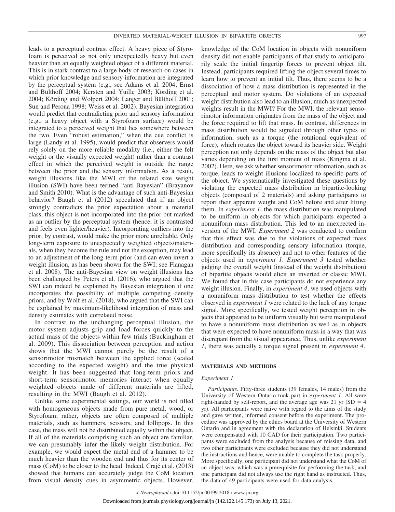leads to a perceptual contrast effect. A heavy piece of Styrofoam is perceived as not only unexpectedly heavy but even heavier than an equally weighted object of a different material. This is in stark contrast to a large body of research on cases in which prior knowledge and sensory information are integrated by the perceptual system (e.g., see Adams et al. 2004; Ernst and Bülthoff 2004; Kersten and Yuille 2003; Körding et al. 2004; Körding and Wolpert 2004; Langer and Bülthoff 2001; Sun and Perona 1998; Weiss et al. 2002). Bayesian integration would predict that contradicting prior and sensory information (e.g., a heavy object with a Styrofoam surface) would be integrated to a perceived weight that lies somewhere between the two. Even "robust estimation," when the cue conflict is large (Landy et al. 1995), would predict that observers would rely solely on the more reliable modality (i.e., either the felt weight or the visually expected weight) rather than a contrast effect in which the perceived weight is outside the range between the prior and the sensory information. As a result, weight illusions like the MWI or the related size weight illusion (SWI) have been termed "anti-Bayesian" (Brayanov and Smith 2010). What is the advantage of such anti-Bayesian behavior? Baugh et al (2012) speculated that if an object strongly contradicts the prior expectation about a material class, this object is not incorporated into the prior but marked as an outlier by the perceptual system (hence, it is contrasted and feels even lighter/heavier). Incorporating outliers into the prior, by contrast, would make the prior more unreliable. Only long-term exposure to unexpectedly weighted objects/materials, when they become the rule and not the exception, may lead to an adjustment of the long-term prior (and can even invert a weight illusion, as has been shown for the SWI; see Flanagan et al. 2008). The anti-Bayesian view on weight illusions has been challenged by Peters et al. (2016), who argued that the SWI can indeed be explained by Bayesian integration if one incorporates the possibility of multiple competing density priors, and by Wolf et al. (2018), who argued that the SWI can be explained by maximum-likelihood integration of mass and density estimates with correlated noise.

In contrast to the unchanging perceptual illusion, the motor system adjusts grip and load forces quickly to the actual mass of the objects within few trials (Buckingham et al. 2009). This dissociation between perception and action shows that the MWI cannot purely be the result of a sensorimotor mismatch between the applied force (scaled according to the expected weight) and the true physical weight. It has been suggested that long-term priors and short-term sensorimotor memories interact when equally weighted objects made of different materials are lifted, resulting in the MWI (Baugh et al. 2012).

Unlike some experimental settings, our world is not filled with homogeneous objects made from pure metal, wood, or Styrofoam; rather, objects are often composed of multiple materials, such as hammers, scissors, and lollipops. In this case, the mass will not be distributed equally within the object. If all of the materials comprising such an object are familiar, we can presumably infer the likely weight distribution. For example, we would expect the metal end of a hammer to be much heavier than the wooden end and thus for its center of mass (CoM) to be closer to the head. Indeed, Crajé et al. (2013) showed that humans can accurately judge the CoM location from visual density cues in asymmetric objects. However,

knowledge of the CoM location in objects with nonuniform density did not enable participants of that study to anticipatorily scale the initial fingertip forces to prevent object tilt. Instead, participants required lifting the object several times to learn how to prevent an initial tilt. Thus, there seems to be a dissociation of how a mass distribution is represented in the perceptual and motor system. Do violations of an expected weight distribution also lead to an illusion, much as unexpected weights result in the MWI? For the MWI, the relevant sensorimotor information originates from the mass of the object and the force required to lift that mass. In contrast, differences in mass distribution would be signaled through other types of information, such as a torque (the rotational equivalent of force), which rotates the object toward its heavier side. Weight perception not only depends on the mass of the object but also varies depending on the first moment of mass (Kingma et al. 2002). Here, we ask whether sensorimotor information, such as torque, leads to weight illusions localized to specific parts of the object. We systematically investigated these questions by violating the expected mass distribution in bipartite-looking objects (composed of 2 materials) and asking participants to report their apparent weight and CoM before and after lifting them. In *experiment 1*, the mass distribution was manipulated to be uniform in objects for which participants expected a nonuniform mass distribution. This led to an unexpected inversion of the MWI. *Experiment 2* was conducted to confirm that this effect was due to the violations of expected mass distribution and corresponding sensory information (torque, more specifically its absence) and not to other features of the objects used in *experiment 1*. *Experiment 3* tested whether judging the overall weight (instead of the weight distribution) of bipartite objects would elicit an inverted or classic MWI. We found that in this case participants do not experience any weight illusion. Finally, in *experiment 4*, we used objects with a nonuniform mass distribution to test whether the effects observed in *experiment 1* were related to the lack of any torque signal. More specifically, we tested weight perception in objects that appeared to be uniform visually but were manipulated to have a nonuniform mass distribution as well as in objects that were expected to have nonuniform mass in a way that was discrepant from the visual appearance. Thus, unlike *experiment 1*, there was actually a torque signal present in *experiment 4*.

### **MATERIALS AND METHODS**

#### *Experiment 1*

*Participants.* Fifty-three students (39 females, 14 males) from the University of Western Ontario took part in *experiment 1*. All were right-handed by self-report, and the average age was 21 yr  $(SD = 4)$ yr). All participants were naive with regard to the aims of the study and gave written, informed consent before the experiment. The procedure was approved by the ethics board at the University of Western Ontario and in agreement with the declaration of Helsinki. Students were compensated with 10 CAD for their participation. Two participants were excluded from the analysis because of missing data, and two other participants were excluded because they did not understand the instructions and hence, were unable to complete the task properly. More specifically, one participant did not understand what the CoM of an object was, which was a prerequisite for performing the task, and one participant did not always use the right hand as instructed. Thus, the data of 49 participants were used for data analysis.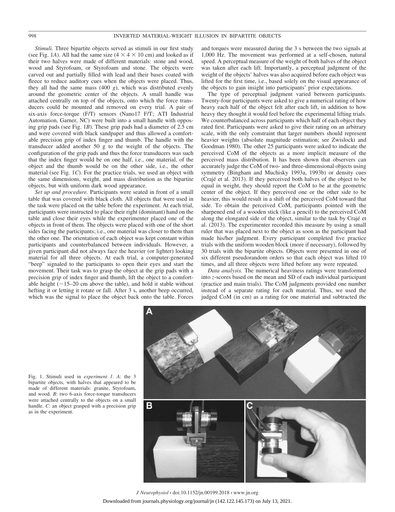*Stimuli.* Three bipartite objects served as stimuli in our first study (see Fig. 1*A*). All had the same size  $(4 \times 4 \times 10 \text{ cm})$  and looked as if their two halves were made of different materials: stone and wood, wood and Styrofoam, or Styrofoam and stone. The objects were carved out and partially filled with lead and their bases coated with fleece to reduce auditory cues when the objects were placed. Thus, they all had the same mass (400 *g*), which was distributed evenly around the geometric center of the objects. A small handle was attached centrally on top of the objects, onto which the force transducers could be mounted and removed on every trial. A pair of six-axis force-torque (F/T) sensors (Nano17 F/T; ATI Industrial Automation, Garner, NC) were built into a small handle with opposing grip pads (see Fig. 1*B*). These grip pads had a diameter of 2.5 cm and were covered with black sandpaper and thus allowed a comfortable precision grip of index finger and thumb. The handle with the transducer added another 50 g to the weight of the objects. The configuration of the grip pads and thus the force transducers was such that the index finger would be on one half, i.e., one material, of the object and the thumb would be on the other side, i.e., the other material (see Fig. 1*C*). For the practice trials, we used an object with the same dimensions, weight, and mass distribution as the bipartite objects, but with uniform dark wood appearance.

*Set up and procedure.* Participants were seated in front of a small table that was covered with black cloth. All objects that were used in the task were placed on the table before the experiment. At each trial, participants were instructed to place their right (dominant) hand on the table and close their eyes while the experimenter placed one of the objects in front of them. The objects were placed with one of the short sides facing the participants; i.e., one material was closer to them than the other one. The orientation of each object was kept constant within participants and counterbalanced between individuals. However, a given participant did not always face the heavier (or lighter) looking material for all three objects. At each trial, a computer-generated "beep" signaled to the participants to open their eyes and start the movement. Their task was to grasp the object at the grip pads with a precision grip of index finger and thumb, lift the object to a comfortable height  $(\sim15-20 \text{ cm}$  above the table), and hold it stable without hefting it or letting it rotate or fall. After 3 s, another beep occurred, which was the signal to place the object back onto the table. Forces

and torques were measured during the 3 s between the two signals at 1,000 Hz. The movement was performed at a self-chosen, natural speed. A perceptual measure of the weight of both halves of the object was taken after each lift. Importantly, a perceptual judgment of the weight of the objects' halves was also acquired before each object was lifted for the first time, i.e., based solely on the visual appearance of the objects to gain insight into participants' prior expectations.

The type of perceptual judgment varied between participants. Twenty-four participants were asked to give a numerical rating of how heavy each half of the object felt after each lift, in addition to how heavy they thought it would feel before the experimental lifting trials. We counterbalanced across participants which half of each object they rated first. Participants were asked to give their rating on an arbitrary scale, with the only constraint that larger numbers should represent heavier weights (absolute magnitude estimation; see Zwislocki and Goodman 1980). The other 25 participants were asked to indicate the perceived CoM of the objects as a more implicit measure of the perceived mass distribution. It has been shown that observers can accurately judge the CoM of two- and three-dimensional objects using symmetry (Bingham and Muchisky 1993a, 1993b) or density cues (Crajé et al. 2013). If they perceived both halves of the object to be equal in weight, they should report the CoM to be at the geometric center of the object. If they perceived one or the other side to be heavier, this would result in a shift of the perceived CoM toward that side. To obtain the perceived CoM, participants pointed with the sharpened end of a wooden stick (like a pencil) to the perceived CoM along the elongated side of the object, similar to the task by Crajé et al. (2013). The experimenter recorded this measure by using a small ruler that was placed next to the object as soon as the participant had made his/her judgment. Every participant completed five practice trials with the uniform wooden block (more if necessary), followed by 30 trials with the bipartite objects. Objects were presented in one of six different pseudorandom orders so that each object was lifted 10 times, and all three objects were lifted before any were repeated.

*Data analysis.* The numerical heaviness ratings were transformed into *z*-scores based on the mean and SD of each individual participant (practice and main trials). The CoM judgments provided one number instead of a separate rating for each material. Thus, we used the judged CoM (in cm) as a rating for one material and subtracted the



Fig. 1. Stimuli used in *experiment 1*. *A*: the 3 bipartite objects, with halves that appeared to be made of different materials: granite, Styrofoam, and wood. *B*: two 6-axis force-torque transducers were attached centrally to the objects on a small handle. *C*: an object grasped with a precision grip as in the experiment.

*J Neurophysiol* • doi:10.1152/jn.00199.2018 • www.jn.org Downloaded from journals.physiology.org/journal/jn (142.122.145.173) on July 13, 2021.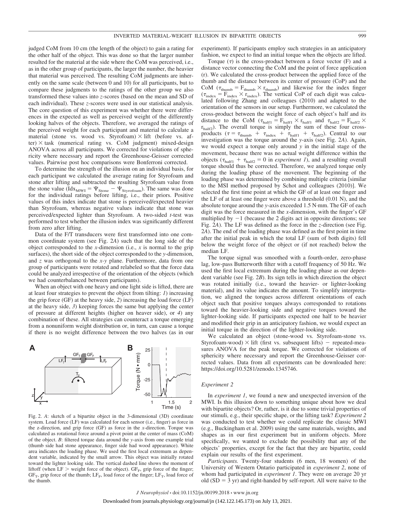judged CoM from 10 cm (the length of the object) to gain a rating for the other half of the object. This was done so that the larger number resulted for the material at the side where the CoM was perceived, i.e., as in the other group of participants, the larger the number, the heavier that material was perceived. The resulting CoM judgments are inherently on the same scale (between 0 and 10) for all participants, but to compare these judgments to the ratings of the other group we also transformed these values into *z*-scores (based on the mean and SD of each individual). These *z*-scores were used in our statistical analysis. The core question of this experiment was whether there were differences in the expected as well as perceived weight of the differently looking halves of the objects. Therefore, we averaged the ratings of the perceived weight for each participant and material to calculate a material (stone vs. wood vs. Styrofoam)  $\times$  lift (before vs. after)  $\times$  task (numerical rating vs. CoM judgment) mixed-design ANOVA across all participants. We corrected for violations of sphericity where necessary and report the Greenhouse-Geisser corrected values. Pairwise post hoc comparisons were Bonferroni corrected.

To determine the strength of the illusion on an individual basis, for each participant we calculated the average rating for Styrofoam and stone after lifting and subtracted the resulting Styrofoam value from the stone value ( $\text{Idx}_{\text{MWI}} = \Psi_{\text{Stone}} - \Psi_{\text{Styrofoam}}$ ). The same was done for the individual ratings before lifting, i.e., their priors. Positive values of this index indicate that stone is perceived/expected heavier than Styrofoam, whereas negative values indicate that stone was perceived/expected lighter than Styrofoam. A two-sided *t*-test was performed to test whether the illusion index was significantly different from zero after lifting.

Data of the F/T transducers were first transformed into one common coordinate system (see Fig. 2*A*) such that the long side of the object corresponded to the *x*-dimension (i.e., *x* is normal to the grip surfaces), the short side of the object corresponded to the *y*-dimension, and *z* was orthogonal to the *x-y* plane. Furthermore, data from one group of participants were rotated and relabeled so that the force data could be analyzed irrespective of the orientation of the objects (which we had counterbalanced between participants).

When an object with one heavy and one light side is lifted, there are at least four strategies to prevent the object from tilting: *1*) increasing the grip force (GF) at the heavy side, *2*) increasing the load force (LF) at the heavy side, *3*) keeping forces the same but applying the center of pressure at different heights (higher on heaver side), or *4*) any combination of these. All strategies can counteract a torque emerging from a nonuniform weight distribution or, in turn, can cause a torque if there is no weight difference between the two halves (as in our



Fig. 2. *A*: sketch of a bipartite object in the 3-dimensional (3D) coordinate system. Load force (LF) was calculated for each sensor (i.e., finger) as force in the z-direction, and grip force (GF) as force in the *x*-direction. Torque was calculated as rotational force around a pivot point at the center of mass (CoM) of the object. *B*: filtered torque data around the *y*-axis from one example trial (thumb side had stone appearance, finger side had wood appearance). White area indicates the loading phase. We used the first local extremum as dependent variable, indicated by the small arrow. This object was initially rotated toward the lighter looking side. The vertical dashed line shows the moment of liftoff (when LF  $>$  weight force of the object). GF<sub>F</sub>, grip force of the finger;  $GF_T$ , grip force of the thumb;  $LF_F$ , load force of the finger;  $LF_T$ , load force of the thumb.

experiment). If participants employ such strategies in an anticipatory fashion, we expect to find an initial torque when the objects are lifted.

Torque  $(\tau)$  is the cross-product between a force vector  $(F)$  and a distance vector connecting the CoM and the point of force application (r). We calculated the cross-product between the applied force of the thumb and the distance between its center of pressure (CoP) and the CoM ( $\tau_{\text{thumb}} = F_{\text{thumb}} \times r_{\text{thumb}}$ ) and likewise for the index finger  $(\tau_{index} = F_{index} \times r_{index})$ . The vertical CoP of each digit was calculated following Zhang and colleagues (2010) and adapted to the orientation of the sensors in our setup. Furthermore, we calculated the cross-product between the weight force of each object's half and its distance to the CoM ( $\tau_{\text{half1}} = F_{\text{half1}} \times r_{\text{half1}}$  and  $\tau_{\text{half2}} = F_{\text{half2}} \times$  $r_{\text{half2}}$ ). The overall torque is simply the sum of these four crossproducts ( $\tau = \tau_{\text{thumb}} + \tau_{\text{index}} + \tau_{\text{half1}} + \tau_{\text{half2}}$ ). Central to our investigation was the torque around the *y*-axis (see Fig. 2*A*). Again, we would expect a torque only around *y* in the initial stage of the movement, because there was no actual weight difference within the objects ( $\tau_{\text{half1}} + \tau_{\text{half2}} = 0$  in *experiment 1*), and a resulting overall torque should thus be corrected. Therefore, we analyzed torque only during the loading phase of the movement. The beginning of the loading phase was determined by combining multiple criteria [similar to the MSI method proposed by Schot and colleagues (2010)]. We selected the first time point at which the GF of at least one finger and the LF of at least one finger were above a threshold (0.01 N), and the absolute torque around the *y*-axis exceeded 1.5 N·mm. The GF of each digit was the force measured in the *x*-dimension, with the finger's GF multiplied by  $-1$  (because the 2 digits act in opposite directions; see Fig. 2*A*). The LF was defined as the force in the *z-*direction (see Fig. 2*A*). The end of the loading phase was defined as the first point in time after the initial peak in which the total LF (sum of both digits) fell below the weight force of the object or (if not reached) below the median LF.

The torque signal was smoothed with a fourth-order, zero-phase lag, low-pass Butterworth filter with a cutoff frequency of 50 Hz. We used the first local extremum during the loading phase as our dependent variable (see Fig. 2*B*). Its sign tells in which direction the object was rotated initially (i.e., toward the heavier- or lighter-looking material), and its value indicates the amount. To simplify interpretation, we aligned the torques across different orientations of each object such that positive torques always corresponded to rotations toward the heavier-looking side and negative torques toward the lighter-looking side. If participants expected one half to be heavier and modified their grip in an anticipatory fashion, we would expect an initial torque in the direction of the lighter-looking side.

We calculated an object (stone-wood vs. Styrofoam-stone vs. Styrofoam-wood)  $\times$  lift (first vs. subsequent lifts) - repeated-measures ANOVA for the peak torque. We corrected for violations of sphericity where necessary and report the Greenhouse-Geisser corrected values. Data from all experiments can be downloaded here: [https://doi.org/10.5281/zenodo.1345746.](https://doi.org/10.5281/zenodo.1345746)

#### *Experiment 2*

In *experiment 1*, we found a new and unexpected inversion of the MWI. Is this illusion down to something unique about how we deal with bipartite objects? Or, rather, is it due to some trivial properties of our stimuli, e.g., their specific shape, or the lifting task? *Experiment 2* was conducted to test whether we could replicate the classic MWI (e.g., Buckingham et al. 2009) using the same materials, weights, and shapes as in our first experiment but in uniform objects. More specifically, we wanted to exclude the possibility that any of the objects' properties, except for the fact that they are bipartite, could explain our results of the first experiment.

*Participants.* Twenty-four students (6 men, 18 women) of the University of Western Ontario participated in *experiment 2*, none of whom had participated in *experiment 1*. They were on average 20 yr old  $(SD = 3 \text{ yr})$  and right-handed by self-report. All were naive to the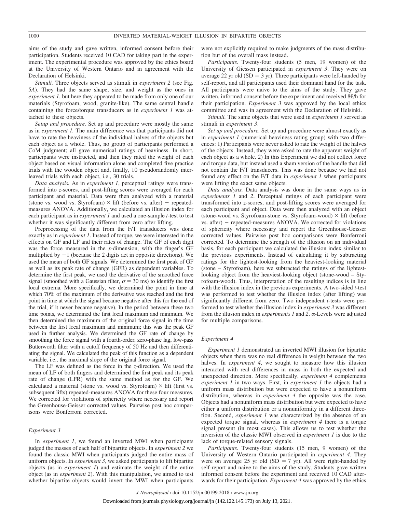aims of the study and gave written, informed consent before their participation. Students received 10 CAD for taking part in the experiment. The experimental procedure was approved by the ethics board at the University of Western Ontario and in agreement with the Declaration of Helsinki.

*Stimuli.* Three objects served as stimuli in *experiment 2* (see Fig. 5*A*). They had the same shape, size, and weight as the ones in *experiment 1*, but here they appeared to be made from only one of our materials (Styrofoam, wood, granite-like). The same central handle containing the force/torque transducers as in *experiment 1* was attached to these objects.

*Setup and procedure.* Set up and procedure were mostly the same as in *experiment 1.* The main difference was that participants did not have to rate the heaviness of the individual halves of the objects but each object as a whole. Thus, no group of participants performed a CoM judgment; all gave numerical ratings of heaviness. In short, participants were instructed, and then they rated the weight of each object based on visual information alone and completed five practice trials with the wooden object and, finally, 10 pseudorandomly interleaved trials with each object, i.e., 30 trials.

*Data analysis.* As in *experiment 1*, perceptual ratings were transformed into *z*-scores, and post-lifting scores were averaged for each participant and material. Data were then analyzed with a material (stone vs. wood vs. Styrofoam)  $\times$  lift (before vs. after) – repeatedmeasures ANOVA. Additionally, we calculated an illusion index for each participant as in *experiment 1* and used a one-sample *t*-test to test whether it was significantly different from zero after lifting.

Preprocessing of the data from the F/T transducers was done exactly as in *experiment 1*. Instead of torque, we were interested in the effects on GF and LF and their rates of change. The GF of each digit was the force measured in the *x*-dimension, with the finger's GF multiplied by  $-1$  (because the 2 digits act in opposite directions). We used the mean of both GF signals. We determined the first peak of GF as well as its peak rate of change (GFR) as dependent variables. To determine the first peak, we used the derivative of the smoothed force signal (smoothed with a Gaussian filter,  $\sigma = 30$  ms) to identify the first local extrema. More specifically, we determined the point in time at which 70% of the maximum of the derivative was reached and the first point in time at which the signal became negative after this (or the end of the trial, if it never became negative). In the period between these two time points, we determined the first local maximum and minimum. We then determined the maximum of the original force signal in the time between the first local maximum and minimum; this was the peak GF used in further analysis. We determined the GF rate of change by smoothing the force signal with a fourth-order, zero-phase lag, low-pass Butterworth filter with a cutoff frequency of 50 Hz and then differentiating the signal. We calculated the peak of this function as a dependent variable, i.e., the maximal slope of the original force signal.

The LF was defined as the force in the *z-*direction. We used the mean of LF of both fingers and determined the first peak and its peak rate of change (LFR) with the same method as for the GF. We calculated a material (stone vs. wood vs. Styrofoam)  $\times$  lift (first vs. subsequent lifts) repeated-measures ANOVA for these four measures. We corrected for violations of sphericity where necessary and report the Greenhouse-Geisser corrected values. Pairwise post hoc comparisons were Bonferroni corrected.

### *Experiment 3*

In *experiment 1*, we found an inverted MWI when participants judged the masses of each half of bipartite objects. In *experiment 2* we found the classic MWI when participants judged the entire mass of uniform objects. In *experiment 3*, we asked participants to lift bipartite objects (as in *experiment 1*) and estimate the weight of the entire object (as in *experiment 2*). With this manipulation, we aimed to test whether bipartite objects would invert the MWI when participants

were not explicitly required to make judgments of the mass distribution but of the overall mass instead.

*Participants.* Twenty-four students (5 men, 19 women) of the University of Giessen participated in *experiment 3*. They were on average 22 yr old  $(SD = 3 \text{ yr})$ . Three participants were left-handed by self-report, and all participants used their dominant hand for the task. All participants were naive to the aims of the study. They gave written, informed consent before the experiment and received  $8E/h$  for their participation. *Experiment 3* was approved by the local ethics committee and was in agreement with the Declaration of Helsinki.

*Stimuli.* The same objects that were used in *experiment 1* served as stimuli in *experiment 3*.

*Set up and procedure.* Set up and procedure were almost exactly as in *experiment 1* (numerical heaviness rating group) with two differences: 1) Participants were never asked to rate the weight of the halves of the objects. Instead, they were asked to rate the apparent weight of each object as a whole. 2) In this Experiment we did not collect force and torque data, but instead used a sham version of the handle that did not contain the F/T transducers. This was done because we had not found any effect on the F/T data in *experiment 1* when participants were lifting the exact same objects.

*Data analysis.* Data analysis was done in the same ways as in *experiments 1* and *2*. Perceptual ratings of each participant were transformed into *z*-scores, and post-lifting scores were averaged for each participant and object. Data were then analyzed with an object (stone-wood vs. Styrofoam-stone vs. Styrofoam-wood)  $\times$  lift (before  $vs.$  after)  $-$  repeated-measures ANOVA. We corrected for violations of sphericity where necessary and report the Greenhouse-Geisser corrected values. Pairwise post hoc comparisons were Bonferroni corrected. To determine the strength of the illusion on an individual basis, for each participant we calculated the illusion index similar to the previous experiments. Instead of calculating it by subtracting ratings for the lightest-looking from the heaviest-looking material (stone – Styrofoam), here we subtracted the ratings of the lightestlooking object from the heaviest-looking object (stone-wood – Styrofoam-wood). Thus, interpretation of the resulting indices is in line with the illusion index in the previous experiments. A two-sided *t*-test was performed to test whether the illusion index (after lifting) was significantly different from zero. Two independent *t*-tests were performed to test whether the illusion index in *experiment 3* was different from the illusion index in *experiments 1* and 2.  $\alpha$ -Levels were adjusted for multiple comparisons.

#### *Experiment 4*

*Experiment 1* demonstrated an inverted MWI illusion for bipartite objects when there was no real difference in weight between the two halves. In *experiment 4*, we sought to measure how this illusion interacted with real differences in mass in both the expected and unexpected direction. More specifically, *experiment 4* complements *experiment 1* in two ways. First, in *experiment 1* the objects had a uniform mass distribution but were expected to have a nonuniform distribution, whereas in *experiment 4* the opposite was the case. Objects had a nonuniform mass distribution but were expected to have either a uniform distribution or a nonuniformity in a different direction. Second, *experiment 1* was characterized by the absence of an expected torque signal, whereas in *experiment 4* there is a torque signal present (in most cases). This allows us to test whether the inversion of the classic MWI observed in *experiment 1* is due to the lack of torque-related sensory signals.

*Participants.* Twenty-four students (15 men, 9 women) of the University of Western Ontario participated in *experiment 4*. They were on average 25 yr old  $(SD = 7$  yr). All were right-handed by self-report and naive to the aims of the study. Students gave written informed consent before the experiment and received 10 CAD afterwards for their participation. *Experiment 4* was approved by the ethics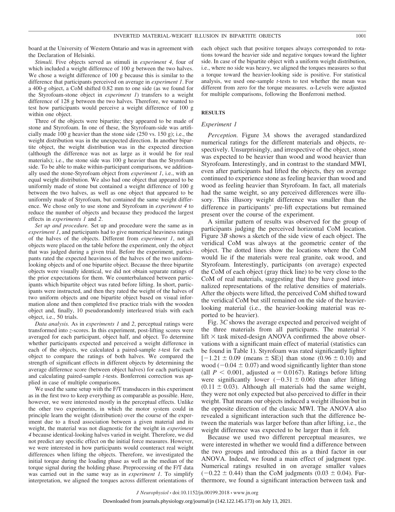board at the University of Western Ontario and was in agreement with the Declaration of Helsinki.

*Stimuli.* Five objects served as stimuli in *experiment 4*, four of which included a weight difference of 100 g between the two halves. We chose a weight difference of 100 g because this is similar to the difference that participants perceived on average in *experiment 1*. For a 400-g object, a CoM shifted 0.82 mm to one side (as we found for the Styrofoam-stone object in *experiment 1*) transfers to a weight difference of 128 g between the two halves. Therefore, we wanted to test how participants would perceive a weight difference of 100 g within one object.

Three of the objects were bipartite; they appeared to be made of stone and Styrofoam. In one of these, the Styrofoam-side was artificially made 100 g heavier than the stone side (250 vs. 150 g); i.e., the weight distribution was in the unexpected direction. In another bipartite object, the weight distribution was in the expected direction (although the difference was not as large as it would be for real materials); i.e., the stone side was 100 g heavier than the Styrofoam side. To be able to make within-participant comparisons, we additionally used the stone-Styrofoam object from *experiment 1*, i.e., with an equal weight distribution. We also had one object that appeared to be uniformly made of stone but contained a weight difference of 100 g between the two halves, as well as one object that appeared to be uniformly made of Styrofoam, but contained the same weight difference. We chose only to use stone and Styrofoam in *experiment 4* to reduce the number of objects and because they produced the largest effects in *experiments 1* and *2*.

*Set up and procedure.* Set up and procedure were the same as in *experiment 1*, and participants had to give numerical heaviness ratings of the halves of the objects. Different from *experiment 1*, not all objects were placed on the table before the experiment, only the object that was judged during a given trial. Before the experiment, participants rated the expected heaviness of the halves of the two uniformlooking objects and of one bipartite object. Because the three bipartite objects were visually identical, we did not obtain separate ratings of the prior expectations for them. We counterbalanced between participants which bipartite object was rated before lifting. In short, participants were instructed, and then they rated the weight of the halves of two uniform objects and one bipartite object based on visual information alone and then completed five practice trials with the wooden object and, finally, 10 pseudorandomly interleaved trials with each object, i.e., 50 trials.

*Data analysis.* As in *experiments 1* and *2*, perceptual ratings were transformed into *z*-scores. In this experiment, post-lifting scores were averaged for each participant, object half, and object. To determine whether participants expected and perceived a weight difference in each of the objects, we calculated a paired-sample *t*-test for each object to compare the ratings of both halves. We compared the strength of significant effects in different objects by determining the average difference score (between object halves) for each participant and calculating paired-sample *t*-tests. Bonferroni correction was applied in case of multiple comparisons.

We used the same setup with the F/T transducers in this experiment as in the first two to keep everything as comparable as possible. Here, however, we were interested mostly in the perceptual effects. Unlike the other two experiments, in which the motor system could in principle learn the weight (distribution) over the course of the experiment due to a fixed association between a given material and its weight, the material was not diagnostic for the weight in *experiment 4* because identical-looking halves varied in weight. Therefore, we did not predict any specific effect on the initial force measures. However, we were interested in how participants would counteract real weight differences when lifting the objects. Therefore, we investigated the initial torque during the loading phase as well as the median of the torque signal during the holding phase. Preprocessing of the F/T data was carried out in the same way as in *experiment 1*. To simplify interpretation, we aligned the torques across different orientations of each object such that positive torques always corresponded to rotations toward the heavier side and negative torques toward the lighter side. In case of the bipartite object with a uniform weight distribution, i.e., where no side was heavy, we aligned the torques measures so that a torque toward the heavier-looking side is positive. For statistical analysis, we used one-sample *t*-tests to test whether the mean was different from zero for the torque measures.  $\alpha$ -Levels were adjusted for multiple comparisons, following the Bonferroni method.

## **RESULTS**

## *Experiment 1*

*Perception.* Figure 3*A* shows the averaged standardized numerical ratings for the different materials and objects, respectively. Unsurprisingly, and irrespective of the object, stone was expected to be heavier than wood and wood heavier than Styrofoam. Interestingly, and in contrast to the standard MWI, even after participants had lifted the objects, they on average continued to experience stone as feeling heavier than wood and wood as feeling heavier than Styrofoam. In fact, all materials had the same weight, so any perceived differences were illusory. This illusory weight difference was smaller than the difference in participants' pre-lift expectations but remained present over the course of the experiment.

A similar pattern of results was observed for the group of participants judging the perceived horizontal CoM location. Figure 3*B* shows a sketch of the side view of each object. The veridical CoM was always at the geometric center of the object. The dotted lines show the locations where the CoM would lie if the materials were real granite, oak wood, and Styrofoam. Interestingly, participants (on average) expected the CoM of each object (gray thick line) to be very close to the CoM of real materials, suggesting that they have good internalized representations of the relative densities of materials. After the objects were lifted, the perceived CoM shifted toward the veridical CoM but still remained on the side of the heavierlooking material (i.e., the heavier-looking material was reported to be heavier).

Fig. 3*C* shows the average expected and perceived weight of the three materials from all participants. The material  $\times$ lift  $\times$  task mixed-design ANOVA confirmed the above observations with a significant main effect of material (statistics can be found in Table 1). Styrofoam was rated significantly lighter  $[-1.21 \pm 0.09$  (means  $\pm$  SE)] than stone (0.96  $\pm$  0.10) and wood ( $-0.04 \pm 0.07$ ) and wood significantly lighter than stone (all  $P < 0.001$ , adjusted  $\alpha = 0.0167$ ). Ratings before lifting were significantly lower  $(-0.31 \pm 0.06)$  than after lifting  $(0.11 \pm 0.03)$ . Although all materials had the same weight, they were not only expected but also perceived to differ in their weight. That means our objects induced a weight illusion but in the opposite direction of the classic MWI. The ANOVA also revealed a significant interaction such that the difference between the materials was larger before than after lifting, i.e., the weight difference was expected to be larger than it felt.

Because we used two different perceptual measures, we were interested in whether we would find a difference between the two groups and introduced this as a third factor in our ANOVA. Indeed, we found a main effect of judgment type. Numerical ratings resulted in on average smaller values  $(-0.22 \pm 0.44)$  than the CoM judgments  $(0.03 \pm 0.04)$ . Furthermore, we found a significant interaction between task and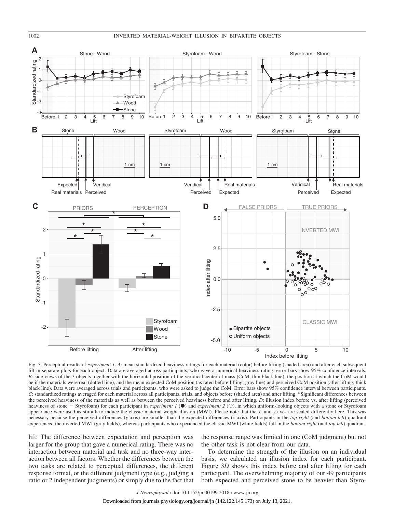## 1002 INVERTED MATERIAL-WEIGHT ILLUSION IN BIPARTITE OBJECTS



Fig. 3. Perceptual results of *experiment 1*. A: mean standardized heaviness ratings for each material (color) before lifting (shaded area) and after each subsequent lift in separate plots for each object. Data are averaged across participants, who gave a numerical heaviness rating; error bars show 95% confidence intervals. *B*: side views of the 3 objects together with the horizontal position of the veridical center of mass (CoM; thin black line), the position at which the CoM would be if the materials were real (dotted line), and the mean expected CoM position (as rated before lifting; gray line) and perceived CoM position (after lifting; thick black line). Data were averaged across trials and participants, who were asked to judge the CoM. Error bars show 95% confidence interval between participants. *C*: standardized ratings averaged for each material across all participants, trials, and objects before (shaded area) and after lifting. \*Significant differences between the perceived heaviness of the materials as well as between the perceived heaviness before and after lifting. *D*: illusion index before vs. after lifting (perceived heaviness of stone – Styrofoam) for each participant in *experiment 1* ( $\bullet$ ) and *experiment 2* ( $\circ$ ), in which uniform-looking objects with a stone or Styrofoam appearance were used as stimuli to induce the classic material-weight illusion (MWI). Please note that the *x*- and *y*-axes are scaled differently here. This was necessary because the perceived differences (*y*-axis) are smaller than the expected differences (*x*-axis). Participants in the *top right* (and *bottom left*) quadrant experienced the inverted MWI (gray fields), whereas participants who experienced the classic MWI (white fields) fall in the *bottom right* (and *top left*) quadrant.

lift: The difference between expectation and perception was larger for the group that gave a numerical rating. There was no interaction between material and task and no three-way interaction between all factors. Whether the differences between the two tasks are related to perceptual differences, the different response format, or the different judgment type (e.g., judging a ratio or 2 independent judgments) or simply due to the fact that the response range was limited in one (CoM judgment) but not the other task is not clear from our data.

To determine the strength of the illusion on an individual basis, we calculated an illusion index for each participant. Figure 3D shows this index before and after lifting for each participant. The overwhelming majority of our 49 participants both expected and perceived stone to be heavier than Styro-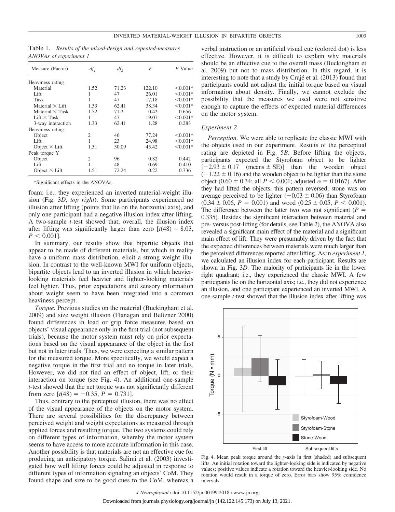Table 1. *Results of the mixed-design and repeated-measures ANOVAs of experiment 1*

| Measure (Factor)       | $df_1$         | $df_2$ | F      | P Value    |
|------------------------|----------------|--------|--------|------------|
| Heaviness rating       |                |        |        |            |
| Material               | 1.52           | 71.23  | 122.10 | $< 0.001*$ |
|                        |                |        |        |            |
| Lift                   |                | 47     | 26.01  | $< 0.001*$ |
| Task                   |                | 47     | 17.18  | $< 0.001*$ |
| Material $\times$ Lift | 1.33           | 62.41  | 38.34  | $< 0.001*$ |
| Material $\times$ Task | 1.52           | 71.2   | 0.42   | 0.656      |
| Lift $\times$ Task     |                | 47     | 19.07  | $< 0.001*$ |
| 3-way interaction      | 1.33           | 62.41  | 1.28   | 0.283      |
| Heaviness rating       |                |        |        |            |
| Object                 | $\mathfrak{D}$ | 46     | 77.24  | $< 0.001*$ |
| Lift                   |                | 23     | 24.98  | $< 0.001*$ |
| Object $\times$ Lift   | 1.31           | 30.09  | 45.42  | $< 0.001*$ |
| Peak torque Y          |                |        |        |            |
| Object                 | 2              | 96     | 0.82   | 0.442      |
| Lift                   |                | 48     | 0.69   | 0.410      |
| Object $\times$ Lift   | 1.51           | 72.24  | 0.22   | 0.736      |

\*Significant effects in the ANOVAs.

foam; i.e., they experienced an inverted material-weight illusion (Fig. 3*D*, *top right*). Some participants experienced no illusion after lifting (points that lie on the horizontal axis), and only one participant had a negative illusion index after lifting. A two-sample *t*-test showed that, overall, the illusion index after lifting was significantly larger than zero  $[t(48) = 8.03]$ ,  $P < 0.001$ ].

In summary, our results show that bipartite objects that appear to be made of different materials, but which in reality have a uniform mass distribution, elicit a strong weight illusion. In contrast to the well-known MWI for uniform objects, bipartite objects lead to an inverted illusion in which heavierlooking materials feel heavier and lighter-looking materials feel lighter. Thus, prior expectations and sensory information about weight seem to have been integrated into a common heaviness percept.

*Torque.* Previous studies on the material (Buckingham et al. 2009) and size weight illusion (Flanagan and Beltzner 2000) found differences in load or grip force measures based on objects' visual appearance only in the first trial (not subsequent trials), because the motor system must rely on prior expectations based on the visual appearance of the object in the first but not in later trials. Thus, we were expecting a similar pattern for the measured torque. More specifically, we would expect a negative torque in the first trial and no torque in later trials. However, we did not find an effect of object, lift, or their interaction on torque (see Fig. 4). An additional one-sample *t*-test showed that the net torque was not significantly different from zero  $[t(48) = -0.35, P = 0.731]$ .

Thus, contrary to the perceptual illusion, there was no effect of the visual appearance of the objects on the motor system. There are several possibilities for the discrepancy between perceived weight and weight expectations as measured through applied forces and resulting torque. The two systems could rely on different types of information, whereby the motor system seems to have access to more accurate information in this case. Another possibility is that materials are not an effective cue for producing an anticipatory torque. Salimi et al. (2003) investigated how well lifting forces could be adjusted in response to different types of information signaling an objects' CoM. They found shape and size to be good cues to the CoM, whereas a

verbal instruction or an artificial visual cue (colored dot) is less effective. However, it is difficult to explain why materials should be an effective cue to the overall mass (Buckingham et al. 2009) but not to mass distribution. In this regard, it is interesting to note that a study by Crajé et al. (2013) found that participants could not adjust the initial torque based on visual information about density. Finally, we cannot exclude the possibility that the measures we used were not sensitive enough to capture the effects of expected material differences on the motor system.

## *Experiment 2*

*Perception.* We were able to replicate the classic MWI with the objects used in our experiment. Results of the perceptual rating are depicted in Fig. 5*B*. Before lifting the objects, participants expected the Styrofoam object to be lighter  $[-2.93 \pm 0.17$  (means  $\pm$  SE)] than the wooden object  $(-1.22 \pm 0.16)$  and the wooden object to be lighter than the stone object  $(0.60 \pm 0.34;$  all  $P < 0.001;$  adjusted  $\alpha = 0.0167$ ). After they had lifted the objects, this pattern reversed; stone was on average perceived to be lighter  $(-0.03 \pm 0.06)$  than Styrofoam  $(0.34 \pm 0.06, P = 0.001)$  and wood  $(0.25 \pm 0.05, P < 0.001)$ . The difference between the latter two was not significant  $(P =$ 0.335). Besides the significant interaction between material and pre- versus post-lifting (for details, see Table 2), the ANOVA also revealed a significant main effect of the material and a significant main effect of lift. They were presumably driven by the fact that the expected differences between materials were much larger than the perceived differences reported after lifting. As in *experiment 1*, we calculated an illusion index for each participant. Results are shown in Fig. 3*D*. The majority of participants lie in the lower right quadrant; i.e., they experienced the classic MWI. A few participants lie on the horizontal axis; i.e., they did not experience an illusion, and one participant experienced an inverted MWI. A one-sample *t*-test showed that the illusion index after lifting was



Fig. 4. Mean peak torque around the *y*-axis in first (shaded) and subsequent lifts. An initial rotation toward the lighter-looking side is indicated by negative values; positive values indicate a rotation toward the heavier-looking side. No rotation would result in a torque of zero. Error bars show 95% confidence intervals.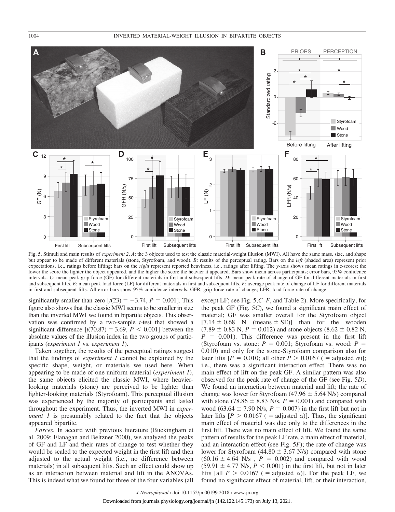

Fig. 5. Stimuli and main results of *experiment 2*. *A*: the 3 objects used to test the classic material-weight illusion (MWI). All have the same mass, size, and shape but appear to be made of different materials (stone, Styrofoam, and wood). *B*: results of the perceptual rating. Bars on the *left* (shaded area) represent prior expectations, i.e., ratings before lifting; bars on the *right* represent reported heaviness, i.e., ratings after lifting. The *y*-axis shows mean ratings in *z*-scores; the lower the score the lighter the object appeared, and the higher the score the heavier it appeared. Bars show mean across participants; error bars, 95% confidence intervals. *C*: mean peak grip force (GF) for different materials in first and subsequent lifts. *D*: mean peak rate of change of GF for different materials in first and subsequent lifts. *E*: mean peak load force (LF) for different materials in first and subsequent lifts. *F*: average peak rate of change of LF for different materials in first and subsequent lifts. All error bars show 95% confidence intervals. GFR, grip force rate of change; LFR, load force rate of change.

significantly smaller than zero  $[t(23) = -3.74, P = 0.001]$ . This figure also shows that the classic MWI seems to be smaller in size than the inverted MWI we found in bipartite objects. This observation was confirmed by a two-sample *t*-test that showed a significant difference  $[t(70.87) = 3.69, P < 0.001]$  between the absolute values of the illusion index in the two groups of participants (*experiment 1* vs. *experiment 1*).

Taken together, the results of the perceptual ratings suggest that the findings of *experiment 1* cannot be explained by the specific shape, weight, or materials we used here. When appearing to be made of one uniform material (*experiment 1*), the same objects elicited the classic MWI, where heavierlooking materials (stone) are perceived to be lighter than lighter-looking materials (Styrofoam). This perceptual illusion was experienced by the majority of participants and lasted throughout the experiment. Thus, the inverted MWI in *experiment 1* is presumably related to the fact that the objects appeared bipartite.

*Forces.* In accord with previous literature (Buckingham et al. 2009; Flanagan and Beltzner 2000), we analyzed the peaks of GF and LF and their rates of change to test whether they would be scaled to the expected weight in the first lift and then adjusted to the actual weight (i.e., no difference between materials) in all subsequent lifts. Such an effect could show up as an interaction between material and lift in the ANOVAs. This is indeed what we found for three of the four variables (all

except LF; see Fig. 5,*C*–*F*, and Table 2). More specifically, for the peak GF (Fig. 5*C*), we found a significant main effect of material; GF was smaller overall for the Styrofoam object  $[7.14 \pm 0.68 \quad N \quad (means \pm SE)]$  than for the wooden  $(7.89 \pm 0.83 \text{ N}, P = 0.012)$  and stone objects  $(8.62 \pm 0.82 \text{ N},$  $P = 0.001$ ). This difference was present in the first lift (Styrofoam vs. stone:  $P = 0.001$ ; Styrofoam vs. wood:  $P =$ 0.010) and only for the stone-Styrofoam comparison also for later lifts  $[P = 0.010;$  all other  $P > 0.0167$  ( = adjusted  $\alpha$ )]; i.e., there was a significant interaction effect. There was no main effect of lift on the peak GF. A similar pattern was also observed for the peak rate of change of the GF (see Fig. 5*D*). We found an interaction between material and lift; the rate of change was lower for Styrofoam (47.96  $\pm$  5.64 N/s) compared with stone (78.86  $\pm$  8.83 N/s,  $P = 0.001$ ) and compared with wood  $(63.64 \pm 7.90 \text{ N/s}, P = 0.007)$  in the first lift but not in later lifts  $[P > 0.0167$  ( = adjusted  $\alpha$ )]. Thus, the significant main effect of material was due only to the differences in the first lift. There was no main effect of lift. We found the same pattern of results for the peak LF rate, a main effect of material, and an interaction effect (see Fig. 5*F*); the rate of change was lower for Styrofoam (44.80  $\pm$  3.67 N/s) compared with stone  $(60.16 \pm 4.64 \text{ N/s}$ ,  $P = 0.002)$  and compared with wood  $(59.91 \pm 4.77 \text{ N/s}, P \le 0.001)$  in the first lift, but not in later lifts [all  $P > 0.0167$  ( = adjusted  $\alpha$ )]. For the peak LF, we found no significant effect of material, lift, or their interaction,

*J Neurophysiol* • doi:10.1152/jn.00199.2018 • www.jn.org

Downloaded from journals.physiology.org/journal/jn (142.122.145.173) on July 13, 2021.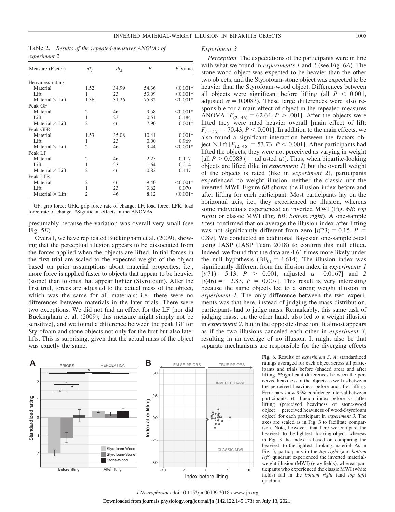Table 2. *Results of the repeated-measures ANOVAs of experiment 2*

| Measure (Factor)       | $df_1$         | $df_2$ | F     | $P$ Value  |
|------------------------|----------------|--------|-------|------------|
| Heaviness rating       |                |        |       |            |
| Material               | 1.52           | 34.99  | 54.36 | $< 0.001*$ |
| Lift                   | 1              | 23     | 53.09 | $< 0.001*$ |
| Material $\times$ Lift | 1.36           | 31.26  | 75.32 | $< 0.001*$ |
| Peak GF                |                |        |       |            |
| Material               | $\overline{2}$ | 46     | 9.58  | $< 0.001*$ |
| Lift                   | 1              | 23     | 0.51  | 0.484      |
| Material $\times$ Lift | $\overline{c}$ | 46     | 7.90  | $0.001*$   |
| Peak GFR               |                |        |       |            |
| Material               | 1.53           | 35.08  | 10.41 | $0.001*$   |
| Lift                   | 1              | 23     | 0.00  | 0.969      |
| Material $\times$ Lift | $\overline{2}$ | 46     | 9.44  | $< 0.001*$ |
| Peak LF                |                |        |       |            |
| Material               | $\overline{2}$ | 46     | 2.25  | 0.117      |
| Lift                   | 1              | 23     | 1.64  | 0.214      |
| Material $\times$ Lift | $\overline{2}$ | 46     | 0.82  | 0.447      |
| Peak LFR               |                |        |       |            |
| Material               | $\overline{2}$ | 46     | 9.40  | $< 0.001*$ |
| Lift                   | 1              | 23     | 3.62  | 0.070      |
| Material $\times$ Lift | $\overline{c}$ | 46     | 8.12  | $< 0.001*$ |

GF, grip force; GFR, grip force rate of change; LF, load force; LFR, load force rate of change. \*Significant effects in the ANOVAs.

presumably because the variation was overall very small (see Fig. 5*E*).

Overall, we have replicated Buckingham et al. (2009), showing that the perceptual illusion appears to be dissociated from the forces applied when the objects are lifted. Initial forces in the first trial are scaled to the expected weight of the object based on prior assumptions about material properties; i.e., more force is applied faster to objects that appear to be heavier (stone) than to ones that appear lighter (Styrofoam). After the first trial, forces are adjusted to the actual mass of the object, which was the same for all materials; i.e., there were no differences between materials in the later trials. There were two exceptions. We did not find an effect for the LF [nor did Buckingham et al. (2009); this measure might simply not be sensitive], and we found a difference between the peak GF for Styrofoam and stone objects not only for the first but also later lifts. This is surprising, given that the actual mass of the object was exactly the same.

#### **A B** FALSE PRIORS TRUE PRIORS PERCEPTION \* 5.0 2 \* INVERTED MWI \* \* 2.5 Standardized rating Standardized rating 1 ndex after lifting Index after lifting  $\Omega$ 0.0 -1 -2.5 Styrofoam-Wood CLASSIC MWI -2 Styrofoam-Stone Stone-Wood -5.0 Before lifting After lifting -10 -5 0 5 10 Index before lifting

## *Experiment 3*

*Perception.* The expectations of the participants were in line with what we found in *experiments 1* and *2* (see Fig. 6*A*). The stone-wood object was expected to be heavier than the other two objects, and the Styrofoam-stone object was expected to be heavier than the Styrofoam-wood object. Differences between all objects were significant before lifting (all  $P < 0.001$ , adjusted  $\alpha = 0.0083$ ). These large differences were also responsible for a main effect of object in the repeated-measures ANOVA  $[F_{(2, 46)} = 62.64, P > .001]$ . After the objects were lifted they were rated heavier overall [main effect of lift:  $F_{(1, 23)} = 70.43, P \le 0.001$ . In addition to the main effects, we also found a significant interaction between the factors object  $\times$  lift [ $F_{(2, 46)} = 53.73, P \lt 0.001$ ]. After participants had lifted the objects, they were not perceived as varying in weight [all  $P > 0.0083$  ( = adjusted  $\alpha$ )]. Thus, when bipartite-looking objects are lifted (like in *experiment 1*) but the overall weight of the objects is rated (like in *experiment 2*), participants experienced no weight illusion, neither the classic nor the inverted MWI. Figure 6*B* shows the illusion index before and after lifting for each participant. Most participants lay on the horizontal axis, i.e., they experienced no illusion, whereas some individuals experienced an inverted MWI (Fig. 6*B*; *top right*) or classic MWI (Fig. 6*B*; *bottom right*). A one-sample *t*-test confirmed that on average the illusion index after lifting was not significantly different from zero  $[t(23) = 0.15, P =$ 0.89]. We conducted an additional Bayesian one-sample *t*-test using JASP (JASP Team 2018) to confirm this null effect. Indeed, we found that the data are 4.61 times more likely under the null hypothesis ( $BF_{01} = 4.614$ ). The illusion index was significantly different from the illusion index in *experiments 1*  $[t(71) = 5.13, P > 0.001, \text{ adjusted } \alpha = 0.0167] \text{ and } 2$  $[t(46) = -2.83, P = 0.007]$ . This result is very interesting because the same objects led to a strong weight illusion in *experiment 1*. The only difference between the two experiments was that here, instead of judging the mass distribution, participants had to judge mass. Remarkably, this same task of judging mass, on the other hand, also led to a weight illusion in *experiment 2*, but in the opposite direction. It almost appears as if the two illusions canceled each other in *experiment 3*, resulting in an average of no illusion. It might also be that separate mechanisms are responsible for the diverging effects

> Fig. 6. Results of *experiment 3*. *A*: standardized ratings averaged for each object across all participants and trials before (shaded area) and after lifting. \*Significant differences between the perceived heaviness of the objects as well as between the perceived heaviness before and after lifting. Error bars show 95% confidence interval between participants. *B*: illusion index before vs. after lifting (perceived heaviness of stone-wood object - perceived heaviness of wood-Styrofoam object) for each participant in *experiment 3*. The axes are scaled as in Fig. 3 to facilitate comparison. Note, however, that here we compare the heaviest- to the lightest- looking object, whereas in Fig. 3 the index is based on comparing the heaviest- to the lightest- looking material. As in Fig. 3, participants in the *top right* (and *bottom left*) quadrant experienced the inverted materialweight illusion (MWI) (gray fields), whereas participants who experienced the classic MWI (white fields) fall in the *bottom right* (and *top left*) quadrant.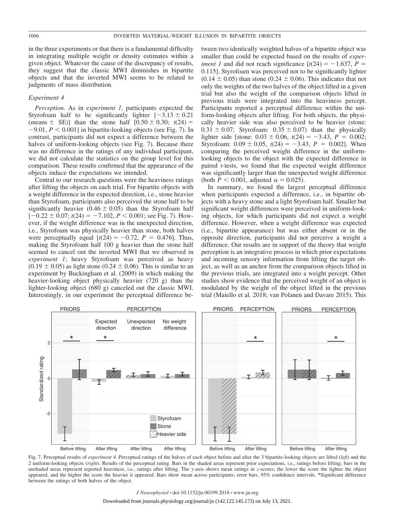in the three experiments or that there is a fundamental difficulty in integrating multiple weight or density estimates within a given object. Whatever the cause of the discrepancy of results, they suggest that the classic MWI diminishes in bipartite objects and that the inverted MWI seems to be related to judgments of mass distribution.

### *Experiment 4*

*Perception.* As in *experiment 1*, participants expected the Styrofoam half to be significantly lighter  $[-3.13 \pm 0.21]$ (means  $\pm$  SE)] than the stone half  $[0.50 \pm 0.30; t(24) =$  $-9.01$ ,  $P < 0.001$ ] in bipartite-looking objects (see Fig. 7). In contrast, participants did not expect a difference between the halves of uniform-looking objects (see Fig. 7). Because there was no difference in the ratings of any individual participant, we did not calculate the statistics on the group level for this comparison. These results confirmed that the appearance of the objects induce the expectations we intended.

Central to our research questions were the heaviness ratings after lifting the objects on each trial. For bipartite objects with a weight difference in the expected direction, i.e., stone heavier than Styrofoam, participants also perceived the stone half to be significantly heavier  $(0.46 \pm 0.05)$  than the Styrofoam half  $[-0.22 \pm 0.07; t(24) = -7.102, P < 0.001;$  see Fig. 7). However, if the weight difference was in the unexpected direction, i.e., Styrofoam was physically heavier than stone, both halves were perceptually equal  $[t(24) = -0.72, P = 0.476]$ . Thus, making the Styrofoam half 100 g heavier than the stone half seemed to cancel out the inverted MWI that we observed in *experiment 1*; heavy Styrofoam was perceived as heavy  $(0.19 \pm 0.05)$  as light stone  $(0.24 \pm 0.06)$ . This is similar to an experiment by Buckingham et al. (2009) in which making the heavier-looking object physically heavier (720 g) than the lighter-looking object (680 g) canceled out the classic MWI. Interestingly, in our experiment the perceptual difference between two identically weighted halves of a bipartite object was smaller than could be expected based on the results of *experiment 1* and did not reach significance  $[t(24) = -1.637, P =$ 0.115]. Styrofoam was perceived not to be significantly lighter  $(0.14 \pm 0.05)$  than stone  $(0.24 \pm 0.06)$ . This indicates that not only the weights of the two halves of the object lifted in a given trial but also the weight of the comparison objects lifted in previous trials were integrated into the heaviness percept. Participants reported a perceptual difference within the uniform-looking objects after lifting. For both objects, the physically heavier side was also perceived to be heavier (stone:  $0.31 \pm 0.07$ ; Styrofoam:  $0.35 \pm 0.07$ ) than the physically lighter side [stone:  $0.03 \pm 0.06$ ,  $t(24) = -3.43$ ,  $P = 0.002$ ; Styrofoam:  $0.09 \pm 0.05$ ,  $t(24) = -3.43$ ,  $P = 0.002$ ]. When comparing the perceived weight difference in the uniformlooking objects to the object with the expected difference in paired *t*-tests, we found that the expected weight difference was significantly larger than the unexpected weight difference (both  $P < 0.001$ , adjusted  $\alpha = 0.025$ ).

In summary, we found the largest perceptual difference when participants expected a difference, i.e., in bipartite objects with a heavy stone and a light Styrofoam half. Smaller but significant weight differences were perceived in uniform-looking objects, for which participants did not expect a weight difference. However, when a weight difference was expected (i.e., bipartite appearance) but was either absent or in the opposite direction, participants did not perceive a weight a difference. Our results are in support of the theory that weight perception is an integrative process in which prior expectations and incoming sensory information from lifting the target object, as well as an anchor from the comparison objects lifted in the previous trials, are integrated into a weight percept. Other studies show evidence that the perceived weight of an object is modulated by the weight of the object lifted in the previous trial (Maiello et al. 2018; van Polanen and Davare 2015). This



Fig. 7. Perceptual results of *experiment 4*. Perceptual ratings of the halves of each object before and after the 3 bipartite-looking objects are lifted (*left*) and the 2 uniform-looking objects (*right*). Results of the perceptual rating. Bars in the shaded areas represent prior expectations, i.e., ratings before lifting; bars in the unshaded areas represent reported heaviness, i.e., ratings after lifting. The *y*-axis shows mean ratings in *z*-scores; the lower the score the lighter the object appeared, and the higher the score the heavier it appeared. Bars show mean across participants; error bars, 95% confidence intervals. **\***Significant difference between the ratings of both halves of the object.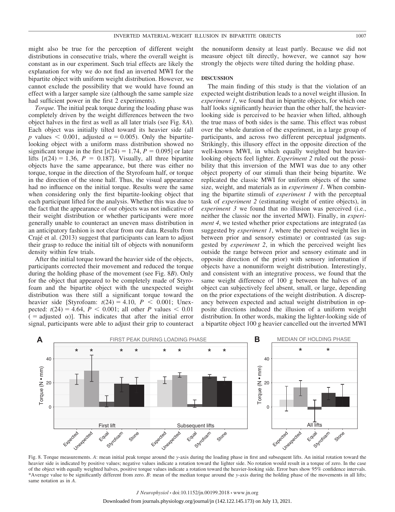might also be true for the perception of different weight distributions in consecutive trials, where the overall weight is constant as in our experiment. Such trial effects are likely the explanation for why we do not find an inverted MWI for the bipartite object with uniform weight distribution. However, we cannot exclude the possibility that we would have found an effect with a larger sample size (although the same sample size had sufficient power in the first 2 experiments).

*Torque.* The initial peak torque during the loading phase was completely driven by the weight differences between the two object halves in the first as well as all later trials (see Fig. 8*A*). Each object was initially tilted toward its heavier side (all *p* values  $\leq 0.001$ , adjusted  $\alpha = 0.005$ ). Only the bipartitelooking object with a uniform mass distribution showed no significant torque in the first  $[t(24) = 1.74, P = 0.095]$  or later lifts  $[t(24) = 1.36, P = 0.187]$ . Visually, all three bipartite objects have the same appearance, but there was either no torque, torque in the direction of the Styrofoam half, or torque in the direction of the stone half. Thus, the visual appearance had no influence on the initial torque. Results were the same when considering only the first bipartite-looking object that each participant lifted for the analysis. Whether this was due to the fact that the appearance of our objects was not indicative of their weight distribution or whether participants were more generally unable to counteract an uneven mass distribution in an anticipatory fashion is not clear from our data. Results from Crajé et al. (2013) suggest that participants can learn to adjust their grasp to reduce the initial tilt of objects with nonuniform density within few trials.

After the initial torque toward the heavier side of the objects, participants corrected their movement and reduced the torque during the holding phase of the movement (see Fig. 8*B*). Only for the object that appeared to be completely made of Styrofoam and the bipartite object with the unexpected weight distribution was there still a significant torque toward the heavier side [Styrofoam:  $t(24) = 4.10$ ,  $P < 0.001$ ; Unexpected:  $t(24) = 4.64$ ,  $P < 0.001$ ; all other *P* values  $< 0.01$  $($  = adjusted  $\alpha$ )]. This indicates that after the initial error signal, participants were able to adjust their grip to counteract the nonuniform density at least partly. Because we did not measure object tilt directly, however, we cannot say how strongly the objects were tilted during the holding phase.

## **DISCUSSION**

The main finding of this study is that the violation of an expected weight distribution leads to a novel weight illusion. In *experiment 1*, we found that in bipartite objects, for which one half looks significantly heavier than the other half, the heavierlooking side is perceived to be heavier when lifted, although the true mass of both sides is the same. This effect was robust over the whole duration of the experiment, in a large group of participants, and across two different perceptual judgments. Strikingly, this illusory effect in the opposite direction of the well-known MWI, in which equally weighted but heavierlooking objects feel lighter. *Experiment 2* ruled out the possibility that this inversion of the MWI was due to any other object property of our stimuli than their being bipartite. We replicated the classic MWI for uniform objects of the same size, weight, and materials as in *experiment 1*. When combining the bipartite stimuli of *experiment 1* with the perceptual task of *experiment 2* (estimating weight of entire objects), in *experiment 3* we found that no illusion was perceived (i.e., neither the classic nor the inverted MWI). Finally, in *experiment 4*, we tested whether prior expectations are integrated (as suggested by *experiment 1*, where the perceived weight lies in between prior and sensory estimate) or contrasted (as suggested by *experiment 2*, in which the perceived weight lies outside the range between prior and sensory estimate and in opposite direction of the prior) with sensory information if objects have a nonuniform weight distribution. Interestingly, and consistent with an integrative process, we found that the same weight difference of 100 g between the halves of an object can subjectively feel absent, small, or large, depending on the prior expectations of the weight distribution. A discrepancy between expected and actual weight distribution in opposite directions induced the illusion of a uniform weight distribution. In other words, making the lighter-looking side of a bipartite object 100 g heavier cancelled out the inverted MWI



Fig. 8. Torque measurements. *A*: mean initial peak torque around the *y*-axis during the loading phase in first and subsequent lifts. An initial rotation toward the heavier side is indicated by positive values; negative values indicate a rotation toward the lighter side. No rotation would result in a torque of zero. In the case of the object with equally weighted halves, positive torque values indicate a rotation toward the heavier-looking side. Error bars show 95% confidence intervals. \*Average value to be significantly different from zero. *B*: mean of the median torque around the *y*-axis during the holding phase of the movements in all lifts; same notation as in *A*.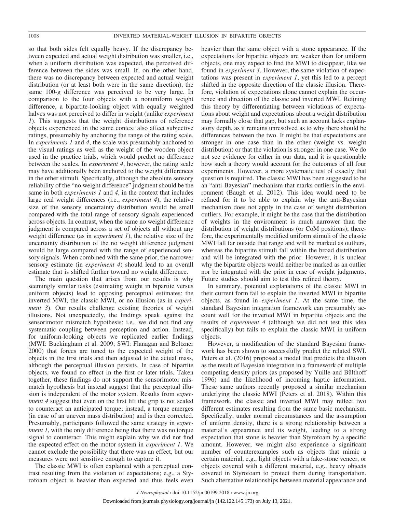so that both sides felt equally heavy. If the discrepancy between expected and actual weight distribution was smaller, i.e., when a uniform distribution was expected, the perceived difference between the sides was small. If, on the other hand, there was no discrepancy between expected and actual weight distribution (or at least both were in the same direction), the same 100-g difference was perceived to be very large. In comparison to the four objects with a nonuniform weight difference, a bipartite-looking object with equally weighted halves was not perceived to differ in weight (unlike *experiment 1*). This suggests that the weight distributions of reference objects experienced in the same context also affect subjective ratings, presumably by anchoring the range of the rating scale. In *experiments 1* and *4*, the scale was presumably anchored to the visual ratings as well as the weight of the wooden object used in the practice trials, which would predict no difference between the scales. In *experiment 4*, however, the rating scale may have additionally been anchored to the weight differences in the other stimuli. Specifically, although the absolute sensory reliability of the "no weight difference" judgment should be the same in both *experiments 1* and *4*, in the context that includes large real weight differences (i.e., *experiment 4*), the relative size of the sensory uncertainty distribution would be small compared with the total range of sensory signals experienced across objects. In contrast, when the same no weight difference judgment is compared across a set of objects all without any weight difference (as in *experiment 1*), the relative size of the uncertainty distribution of the no weight difference judgment would be large compared with the range of experienced sensory signals. When combined with the same prior, the narrower sensory estimate (in *experiment 4*) should lead to an overall estimate that is shifted further toward no weight difference.

The main question that arises from our results is why seemingly similar tasks (estimating weight in bipartite versus uniform objects) lead to opposing perceptual estimates: the inverted MWI, the classic MWI, or no illusion (as in *experiment 3*). Our results challenge existing theories of weight illusions. Not unexpectedly, the findings speak against the sensorimotor mismatch hypothesis; i.e., we did not find any systematic coupling between perception and action. Instead, for uniform-looking objects we replicated earlier findings (MWI: Buckingham et al. 2009; SWI: Flanagan and Beltzner 2000) that forces are tuned to the expected weight of the objects in the first trials and then adjusted to the actual mass, although the perceptual illusion persists. In case of bipartite objects, we found no effect in the first or later trials. Taken together, these findings do not support the sensorimotor mismatch hypothesis but instead suggest that the perceptual illusion is independent of the motor system. Results from *experiment 4* suggest that even on the first lift the grip is not scaled to counteract an anticipated torque; instead, a torque emerges (in case of an uneven mass distribution) and is then corrected. Presumably, participants followed the same strategy in *experiment 1*, with the only difference being that there was no torque signal to counteract. This might explain why we did not find the expected effect on the motor system in *experiment 1*. We cannot exclude the possibility that there was an effect, but our measures were not sensitive enough to capture it.

The classic MWI is often explained with a perceptual contrast resulting from the violation of expectations; e.g., a Styrofoam object is heavier than expected and thus feels even heavier than the same object with a stone appearance. If the expectations for bipartite objects are weaker than for uniform objects, one may expect to find the MWI to disappear, like we found in *experiment 3*. However, the same violation of expectations was present in *experiment 1*, yet this led to a percept shifted in the opposite direction of the classic illusion. Therefore, violation of expectations alone cannot explain the occurrence and direction of the classic and inverted MWI. Refining this theory by differentiating between violations of expectations about weight and expectations about a weight distribution may formally close that gap, but such an account lacks explanatory depth, as it remains unresolved as to why there should be differences between the two. It might be that expectations are stronger in one case than in the other (weight vs. weight distribution) or that the violation is stronger in one case. We do not see evidence for either in our data, and it is questionable how such a theory would account for the outcomes of all four experiments. However, a more systematic test of exactly that question is required. The classic MWI has been suggested to be an "anti-Bayesian" mechanism that marks outliers in the environment (Baugh et al. 2012). This idea would need to be refined for it to be able to explain why the anti-Bayesian mechanism does not apply in the case of weight distribution outliers. For example, it might be the case that the distribution of weights in the environment is much narrower than the distribution of weight distributions (or CoM positions); therefore, the experimentally modified uniform stimuli of the classic MWI fall far outside that range and will be marked as outliers, whereas the bipartite stimuli fall within the broad distribution and will be integrated with the prior. However, it is unclear why the bipartite objects would neither be marked as an outlier nor be integrated with the prior in case of weight judgments. Future studies should aim to test this refined theory.

In summary, potential explanations of the classic MWI in their current form fail to explain the inverted MWI in bipartite objects, as found in *experiment 1*. At the same time, the standard Bayesian integration framework can presumably account well for the inverted MWI in bipartite objects and the results of *experiment 4* (although we did not test this idea specifically) but fails to explain the classic MWI in uniform objects.

However, a modification of the standard Bayesian framework has been shown to successfully predict the related SWI. Peters et al. (2016) proposed a model that predicts the illusion as the result of Bayesian integration in a framework of multiple competing density priors (as proposed by Yuille and Bülthoff 1996) and the likelihood of incoming haptic information. These same authors recently proposed a similar mechanism underlying the classic MWI (Peters et al. 2018). Within this framework, the classic and inverted MWI may reflect two different estimates resulting from the same basic mechanism. Specifically, under normal circumstances and the assumption of uniform density, there is a strong relationship between a material's appearance and its weight, leading to a strong expectation that stone is heavier than Styrofoam by a specific amount. However, we might also experience a significant number of counterexamples such as objects that mimic a certain material, e.g., light objects with a fake-stone veneer, or objects covered with a different material, e.g., heavy objects covered in Styrofoam to protect them during transportation. Such alternative relationships between material appearance and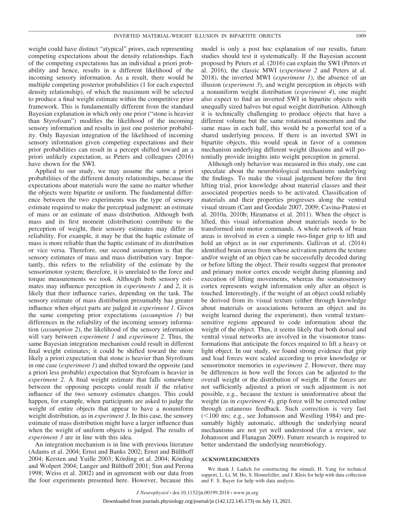weight could have distinct "atypical" priors, each representing competing expectations about the density relationships. Each of the competing expectations has an individual a priori probability and hence, results in a different likelihood of the incoming sensory information. As a result, there would be multiple competing posterior probabilities (1 for each expected density relationship), of which the maximum will be selected to produce a final weight estimate within the competitive prior framework. This is fundamentally different from the standard Bayesian explanation in which only one prior ("stone is heavier than Styrofoam") modifies the likelihood of the incoming sensory information and results in just one posterior probability. Only Bayesian integration of the likelihood of incoming sensory information given competing expectations and their prior probabilities can result in a percept shifted toward an a priori unlikely expectation, as Peters and colleagues (2016) have shown for the SWI.

Applied to our study, we may assume the same a priori probabilities of the different density relationships, because the expectations about materials were the same no matter whether the objects were bipartite or uniform. The fundamental difference between the two experiments was the type of sensory estimate required to make the perceptual judgment: an estimate of mass or an estimate of mass distribution. Although both mass and its first moment (distribution) contribute to the perception of weight, their sensory estimates may differ in reliability. For example, it may be that the haptic estimate of mass is more reliable than the haptic estimate of its distribution or vice versa. Therefore, our second assumption is that the sensory estimates of mass and mass distribution vary. Importantly, this refers to the reliability of the estimate by the sensorimotor system; therefore, it is unrelated to the force and torque measurements we took. Although both sensory estimates may influence perception in *experiments 1* and *2*, it is likely that their influence varies, depending on the task. The sensory estimate of mass distribution presumably has greater influence when object parts are judged in *experiment 1*. Given the same competing prior expectations (*assumption 1*) but differences in the reliability of the incoming sensory information (*assumption 2*), the likelihood of the sensory information will vary between *experiment 1* and *experiment 2*. Thus, the same Bayesian integration mechanism could result in different final weight estimates; it could be shifted toward the more likely a priori expectation that stone is heavier than Styrofoam in one case (*experiment 1*) and shifted toward the opposite (and a priori less probable) expectation that Styrofoam is heavier in *experiment 2*. A final weight estimate that falls somewhere between the opposing percepts could result if the relative influence of the two sensory estimates changes. This could happen, for example, when participants are asked to judge the weight of entire objects that appear to have a nonuniform weight distribution, as in *experiment 3*. In this case, the sensory estimate of mass distribution might have a larger influence than when the weight of uniform objects is judged. The results of *experiment 3* are in line with this idea.

An integration mechanism is in line with previous literature (Adams et al. 2004; Ernst and Banks 2002; Ernst and Bülthoff 2004; Kersten and Yuille 2003; Körding et al. 2004; Körding and Wolpert 2004; Langer and Bülthoff 2001; Sun and Perona 1998; Weiss et al. 2002) and in agreement with our data from the four experiments presented here. However, because this

model is only a post hoc explanation of our results, future studies should test it systematically. If the Bayesian account proposed by Peters et al. (2016) can explain the SWI (Peters et al. 2016), the classic MWI (*experiment 2* and Peters at al. 2018), the inverted MWI (*experiment 1*), the absence of an illusion (*experiment 3*), and weight perception in objects with a nonuniform weight distribution (*experiment 4*), one might also expect to find an inverted SWI in bipartite objects with unequally sized halves but equal weight distribution. Although it is technically challenging to produce objects that have a different volume but the same rotational momentum and the same mass in each half, this would be a powerful test of a shared underlying process. If there is an inverted SWI in bipartite objects, this would speak in favor of a common mechanism underlying different weight illusions and will potentially provide insights into weight perception in general.

Although only behavior was measured in this study, one can speculate about the neurobiological mechanisms underlying the findings. To make the visual judgement before the first lifting trial, prior knowledge about material classes and their associated properties needs to be activated. Classification of materials and their properties progresses along the ventral visual stream (Cant and Goodale 2007, 2009; Cavina-Pratesi et al. 2010a, 2010b; Hiramatsu et al. 2011). When the object is lifted, this visual information about materials needs to be transformed into motor commands. A whole network of brain areas is involved in even a simple two-finger grip to lift and hold an object as in our experiments. Gallivan et al.  $(2014)$ identified brain areas from whose activation pattern the texture and/or weight of an object can be successfully decoded during or before lifting the object. Their results suggest that premotor and primary motor cortex encode weight during planning and execution of lifting movements, whereas the somatosensory cortex represents weight information only after an object is touched. Interestingly, if the weight of an object could reliably be derived from its visual texture (either through knowledge about materials or associations between an object and its weight learned during the experiment), then ventral texturesensitive regions appeared to code information about the weight of the object. Thus, it seems likely that both dorsal and ventral visual networks are involved in the visuomotor transformations that anticipate the forces required to lift a heavy or light object. In our study, we found strong evidence that grip and load forces were scaled according to prior knowledge or sensorimotor memories in *experiment 2*. However, there may be differences in how well the forces can be adjusted to the overall weight or the distribution of weight. If the forces are not sufficiently adjusted a priori or such adjustment is not possible, e.g., because the texture is uninformative about the weight (as in *experiment 4*), grip force will be corrected online through cutaneous feedback. Such correction is very fast ( 100 ms; e.g., see Johansson and Westling 1984) and presumably highly automatic, although the underlying neural mechanisms are not yet well understood (for a review, see Johansson and Flanagan 2009). Future research is required to better understand the underlying neurobiology.

## **ACKNOWLEDGMENTS**

We thank J. Ladich for constructing the stimuli, H. Yang for technical support, L. Li, M. Ho, S. Honnefeller, and J. Kleis for help with data collection and F. S. Bayer for help with data analysis.